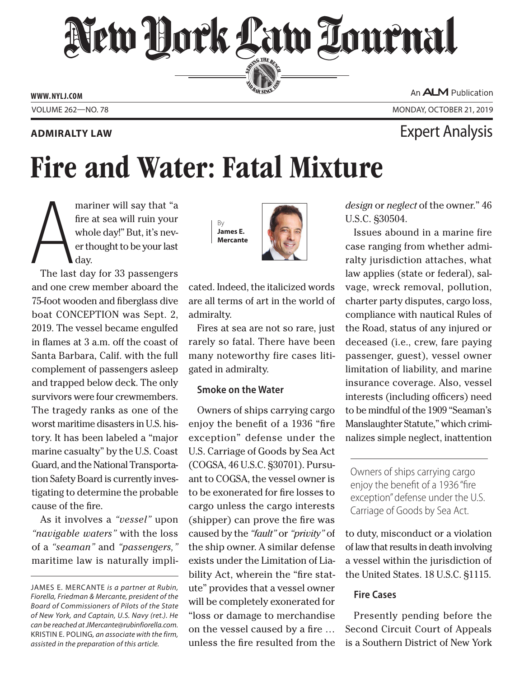## New Dock Law Louenal SERVING THE BEN

**ED BAR SINCE 188** 

**Admiralty Law** Expert Analysis

**www. NYLJ.com**

An **ALM** Publication

Volume 262—NO. 78 Monday, October 21, 2019

# Fire and Water: Fatal Mixture

mariner will say that "a<br>fire at sea will ruin your<br>whole day!" But, it's nev-<br>er thought to be your last<br>day.<br>The last day for 33 passengers fire at sea will ruin your whole day!" But, it's never thought to be your last day.

The last day for 33 passengers and one crew member aboard the 75-foot wooden and fiberglass dive boat CONCEPTION was Sept. 2, 2019. The vessel became engulfed in flames at 3 a.m. off the coast of Santa Barbara, Calif. with the full complement of passengers asleep and trapped below deck. The only survivors were four crewmembers. The tragedy ranks as one of the worst maritime disasters in U.S. history. It has been labeled a "major marine casualty" by the U.S. Coast Guard, and the National Transportation Safety Board is currently investigating to determine the probable cause of the fire.

As it involves a *"vessel"* upon *"navigable waters"* with the loss of a *"seaman"* and *"passengers,"* maritime law is naturally impli-

By **James E. Mercante**



cated. Indeed, the italicized words are all terms of art in the world of admiralty.

Fires at sea are not so rare, just rarely so fatal. There have been many noteworthy fire cases litigated in admiralty.

#### **Smoke on the Water**

Owners of ships carrying cargo enjoy the benefit of a 1936 "fire exception" defense under the U.S. Carriage of Goods by Sea Act (COGSA, 46 U.S.C. §30701). Pursuant to COGSA, the vessel owner is to be exonerated for fire losses to cargo unless the cargo interests (shipper) can prove the fire was caused by the *"fault"* or *"privity"* of the ship owner. A similar defense exists under the Limitation of Liability Act, wherein the "fire statute" provides that a vessel owner will be completely exonerated for "loss or damage to merchandise on the vessel caused by a fire … unless the fire resulted from the *design* or *neglect* of the owner." 46 U.S.C. §30504.

Issues abound in a marine fire case ranging from whether admiralty jurisdiction attaches, what law applies (state or federal), salvage, wreck removal, pollution, charter party disputes, cargo loss, compliance with nautical Rules of the Road, status of any injured or deceased (i.e., crew, fare paying passenger, guest), vessel owner limitation of liability, and marine insurance coverage. Also, vessel interests (including officers) need to be mindful of the 1909 "Seaman's Manslaughter Statute," which criminalizes simple neglect, inattention

Owners of ships carrying cargo enjoy the benefit of a 1936 "fire exception" defense under the U.S. Carriage of Goods by Sea Act.

to duty, misconduct or a violation of law that results in death involving a vessel within the jurisdiction of the United States. 18 U.S.C. §1115.

#### **Fire Cases**

Presently pending before the Second Circuit Court of Appeals is a Southern District of New York

James E. Mercante *is a partner at Rubin, Fiorella, Friedman & Mercante, president of the Board of Commissioners of Pilots of the State of New York, and Captain, U.S. Navy (ret.). He can be reached at JMercante@rubinfiorella.com.*  Kristin E. Poling*, an associate with the firm, assisted in the preparation of this article.*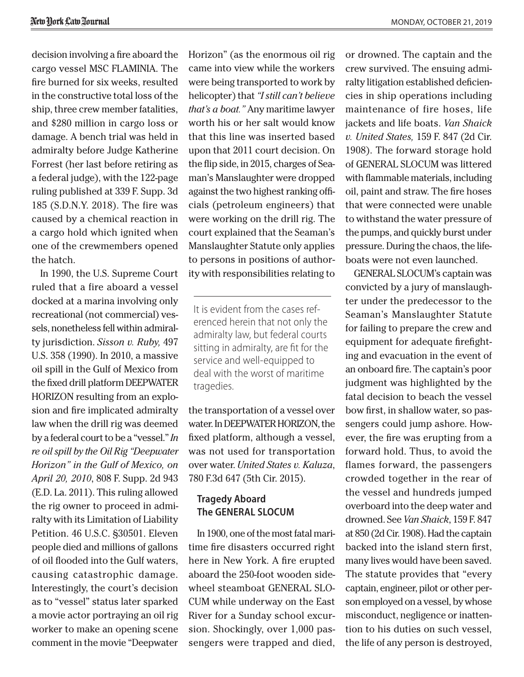decision involving a fire aboard the cargo vessel MSC FLAMINIA. The fire burned for six weeks, resulted in the constructive total loss of the ship, three crew member fatalities, and \$280 million in cargo loss or damage. A bench trial was held in admiralty before Judge Katherine Forrest (her last before retiring as a federal judge), with the 122-page ruling published at 339 F. Supp. 3d 185 (S.D.N.Y. 2018). The fire was caused by a chemical reaction in a cargo hold which ignited when one of the crewmembers opened the hatch.

In 1990, the U.S. Supreme Court ruled that a fire aboard a vessel docked at a marina involving only recreational (not commercial) vessels, nonetheless fell within admiralty jurisdiction. *Sisson v. Ruby,* 497 U.S. 358 (1990). In 2010, a massive oil spill in the Gulf of Mexico from the fixed drill platform DEEPWATER HORIZON resulting from an explosion and fire implicated admiralty law when the drill rig was deemed by a federal court to be a "vessel." *In re oil spill by the Oil Rig "Deepwater Horizon" in the Gulf of Mexico, on April 20, 2010*, 808 F. Supp. 2d 943 (E.D. La. 2011). This ruling allowed the rig owner to proceed in admiralty with its Limitation of Liability Petition. 46 U.S.C. §30501. Eleven people died and millions of gallons of oil flooded into the Gulf waters, causing catastrophic damage. Interestingly, the court's decision as to "vessel" status later sparked a movie actor portraying an oil rig worker to make an opening scene comment in the movie "Deepwater

Horizon" (as the enormous oil rig came into view while the workers were being transported to work by helicopter) that *"I still can't believe that's a boat."* Any maritime lawyer worth his or her salt would know that this line was inserted based upon that 2011 court decision. On the flip side, in 2015, charges of Seaman's Manslaughter were dropped against the two highest ranking officials (petroleum engineers) that were working on the drill rig. The court explained that the Seaman's Manslaughter Statute only applies to persons in positions of authority with responsibilities relating to

It is evident from the cases referenced herein that not only the admiralty law, but federal courts sitting in admiralty, are fit for the service and well-equipped to deal with the worst of maritime tragedies.

the transportation of a vessel over water. In DEEPWATER HORIZON, the fixed platform, although a vessel, was not used for transportation over water. *United States v. Kaluza*, 780 F.3d 647 (5th Cir. 2015).

### **Tragedy Aboard The GENERAL SLOCUM**

In 1900, one of the most fatal maritime fire disasters occurred right here in New York. A fire erupted aboard the 250-foot wooden sidewheel steamboat GENERAL SLO-CUM while underway on the East River for a Sunday school excursion. Shockingly, over 1,000 passengers were trapped and died,

or drowned. The captain and the crew survived. The ensuing admiralty litigation established deficiencies in ship operations including maintenance of fire hoses, life jackets and life boats. *Van Shaick v. United States,* 159 F. 847 (2d Cir. 1908). The forward storage hold of GENERAL SLOCUM was littered with flammable materials, including oil, paint and straw. The fire hoses that were connected were unable to withstand the water pressure of the pumps, and quickly burst under pressure. During the chaos, the lifeboats were not even launched.

GENERAL SLOCUM's captain was convicted by a jury of manslaughter under the predecessor to the Seaman's Manslaughter Statute for failing to prepare the crew and equipment for adequate firefighting and evacuation in the event of an onboard fire. The captain's poor judgment was highlighted by the fatal decision to beach the vessel bow first, in shallow water, so passengers could jump ashore. However, the fire was erupting from a forward hold. Thus, to avoid the flames forward, the passengers crowded together in the rear of the vessel and hundreds jumped overboard into the deep water and drowned. See *Van Shaick*, 159 F. 847 at 850 (2d Cir. 1908). Had the captain backed into the island stern first, many lives would have been saved. The statute provides that "every captain, engineer, pilot or other person employed on a vessel, by whose misconduct, negligence or inattention to his duties on such vessel, the life of any person is destroyed,